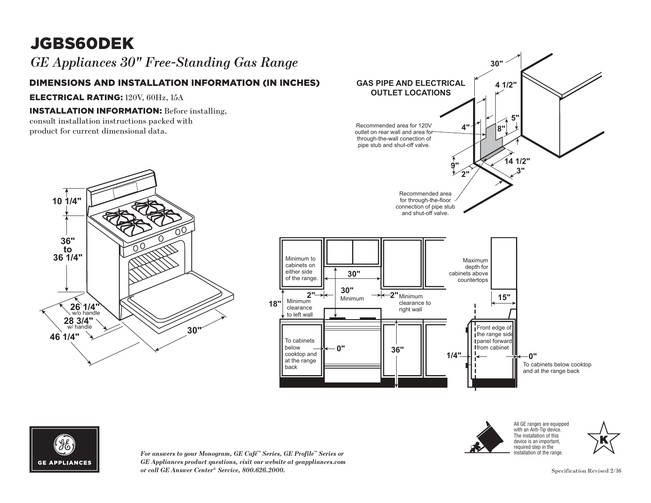# JGBS60DEK

*GE Appliances 30" Free-Standing Gas Range*

## **DIMENSIONS AND INSTALLATION INFORMATION (IN INCHES)**

ELECTRICAL RATING: 120V, 60Hz, 15A

### INSTALLATION INFORMATION: Before installing,

consult installation instructions packed with **to 36 1/4" to** product for current dimensional data.







*For answers to your Monogram, GE Café™ Series, GE Profile™ Series or*  clearance *GE Appliances product questions, visit our website at geappliances.com or call GE Answer Center® Service, 800.626.2000.* Specification Revised 2/16 Monogram, GE Café™ Series, GE Profile™ Series or

Minimum to cabinets on either side of the range.

clearance **18"**

**2"**

To cabinets cooktop and at the range